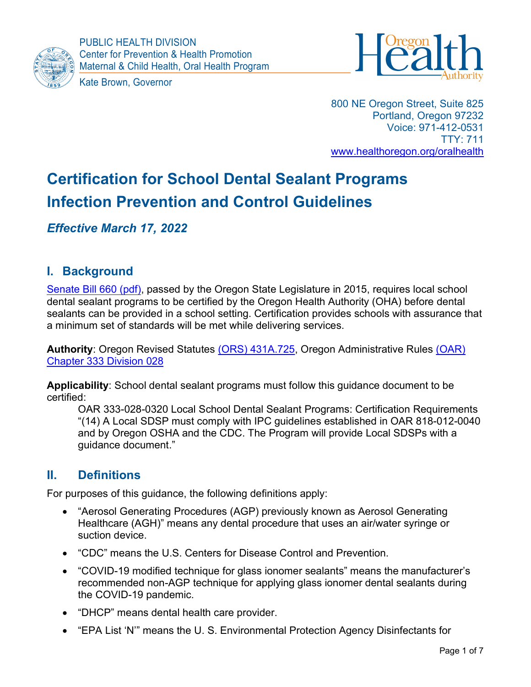



800 NE Oregon Street, Suite 825 Portland, Oregon 97232 Voice: 971-412-0531 TTY: 711 www.healthoregon.org/oralhealth

# Certification for School Dental Sealant Programs Infection Prevention and Control Guidelines

Effective March 17, 2022

# I. Background

Senate Bill 660 (pdf), passed by the Oregon State Legislature in 2015, requires local school dental sealant programs to be certified by the Oregon Health Authority (OHA) before dental sealants can be provided in a school setting. Certification provides schools with assurance that a minimum set of standards will be met while delivering services.

Authority: Oregon Revised Statutes (ORS) 431A.725, Oregon Administrative Rules (OAR) Chapter 333 Division 028

Applicability: School dental sealant programs must follow this guidance document to be certified:

OAR 333-028-0320 Local School Dental Sealant Programs: Certification Requirements "(14) A Local SDSP must comply with IPC guidelines established in OAR 818-012-0040 and by Oregon OSHA and the CDC. The Program will provide Local SDSPs with a guidance document."

### II. Definitions

For purposes of this guidance, the following definitions apply:

- "Aerosol Generating Procedures (AGP) previously known as Aerosol Generating Healthcare (AGH)" means any dental procedure that uses an air/water syringe or suction device.
- "CDC" means the U.S. Centers for Disease Control and Prevention.
- "COVID-19 modified technique for glass ionomer sealants" means the manufacturer's recommended non-AGP technique for applying glass ionomer dental sealants during the COVID-19 pandemic.
- "DHCP" means dental health care provider.
- "EPA List 'N'" means the U. S. Environmental Protection Agency Disinfectants for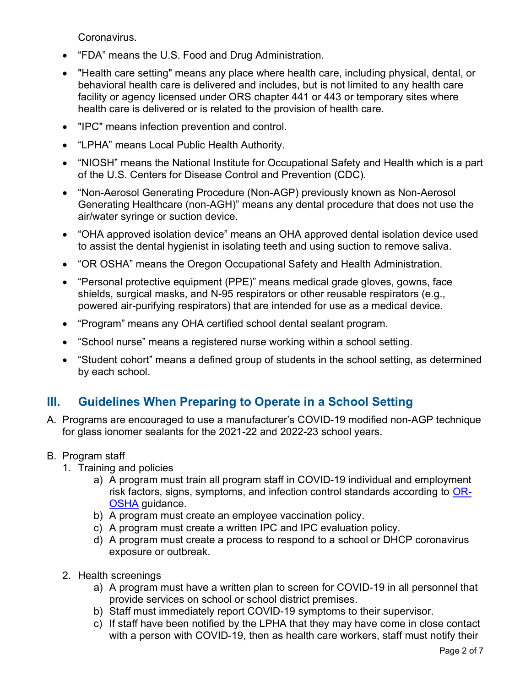Coronavirus.

- "FDA" means the U.S. Food and Drug Administration.
- "Health care setting" means any place where health care, including physical, dental, or behavioral health care is delivered and includes, but is not limited to any health care facility or agency licensed under ORS chapter 441 or 443 or temporary sites where health care is delivered or is related to the provision of health care.
- "IPC" means infection prevention and control.
- "LPHA" means Local Public Health Authority.
- "NIOSH" means the National Institute for Occupational Safety and Health which is a part of the U.S. Centers for Disease Control and Prevention (CDC).
- "Non-Aerosol Generating Procedure (Non-AGP) previously known as Non-Aerosol Generating Healthcare (non-AGH)" means any dental procedure that does not use the air/water syringe or suction device.
- "OHA approved isolation device" means an OHA approved dental isolation device used to assist the dental hygienist in isolating teeth and using suction to remove saliva.
- "OR OSHA" means the Oregon Occupational Safety and Health Administration.
- "Personal protective equipment (PPE)" means medical grade gloves, gowns, face shields, surgical masks, and N-95 respirators or other reusable respirators (e.g., powered air-purifying respirators) that are intended for use as a medical device.
- "Program" means any OHA certified school dental sealant program.
- "School nurse" means a registered nurse working within a school setting.
- "Student cohort" means a defined group of students in the school setting, as determined by each school.

# III. Guidelines When Preparing to Operate in a School Setting

- A. Programs are encouraged to use a manufacturer's COVID-19 modified non-AGP technique for glass ionomer sealants for the 2021-22 and 2022-23 school years.
- B. Program staff
	- 1. Training and policies
		- a) A program must train all program staff in COVID-19 individual and employment risk factors, signs, symptoms, and infection control standards according to OR-OSHA guidance.
		- b) A program must create an employee vaccination policy.
		- c) A program must create a written IPC and IPC evaluation policy.
		- d) A program must create a process to respond to a school or DHCP coronavirus exposure or outbreak.
	- 2. Health screenings
		- a) A program must have a written plan to screen for COVID-19 in all personnel that provide services on school or school district premises.
		- b) Staff must immediately report COVID-19 symptoms to their supervisor.
		- c) If staff have been notified by the LPHA that they may have come in close contact with a person with COVID-19, then as health care workers, staff must notify their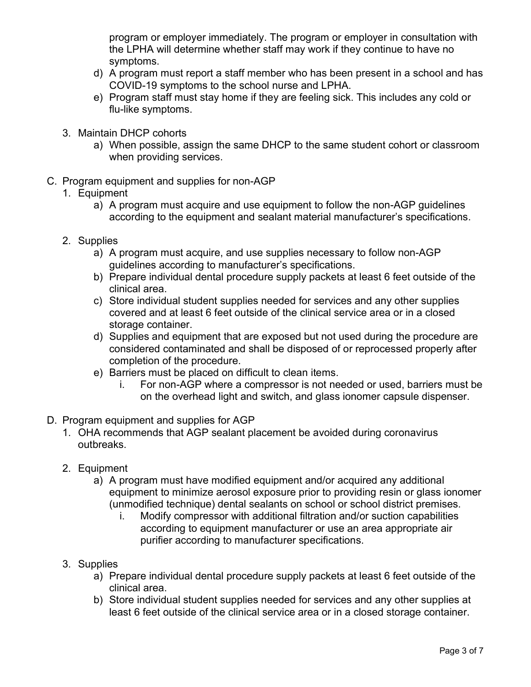program or employer immediately. The program or employer in consultation with the LPHA will determine whether staff may work if they continue to have no symptoms.

- d) A program must report a staff member who has been present in a school and has COVID-19 symptoms to the school nurse and LPHA.
- e) Program staff must stay home if they are feeling sick. This includes any cold or flu-like symptoms.
- 3. Maintain DHCP cohorts
	- a) When possible, assign the same DHCP to the same student cohort or classroom when providing services.
- C. Program equipment and supplies for non-AGP

#### 1. Equipment

- a) A program must acquire and use equipment to follow the non-AGP guidelines according to the equipment and sealant material manufacturer's specifications.
- 2. Supplies
	- a) A program must acquire, and use supplies necessary to follow non-AGP guidelines according to manufacturer's specifications.
	- b) Prepare individual dental procedure supply packets at least 6 feet outside of the clinical area.
	- c) Store individual student supplies needed for services and any other supplies covered and at least 6 feet outside of the clinical service area or in a closed storage container.
	- d) Supplies and equipment that are exposed but not used during the procedure are considered contaminated and shall be disposed of or reprocessed properly after completion of the procedure.
	- e) Barriers must be placed on difficult to clean items.
		- i. For non-AGP where a compressor is not needed or used, barriers must be on the overhead light and switch, and glass ionomer capsule dispenser.
- D. Program equipment and supplies for AGP
	- 1. OHA recommends that AGP sealant placement be avoided during coronavirus outbreaks.
	- 2. Equipment
		- a) A program must have modified equipment and/or acquired any additional equipment to minimize aerosol exposure prior to providing resin or glass ionomer (unmodified technique) dental sealants on school or school district premises.
			- i. Modify compressor with additional filtration and/or suction capabilities according to equipment manufacturer or use an area appropriate air purifier according to manufacturer specifications.
	- 3. Supplies
		- a) Prepare individual dental procedure supply packets at least 6 feet outside of the clinical area.
		- b) Store individual student supplies needed for services and any other supplies at least 6 feet outside of the clinical service area or in a closed storage container.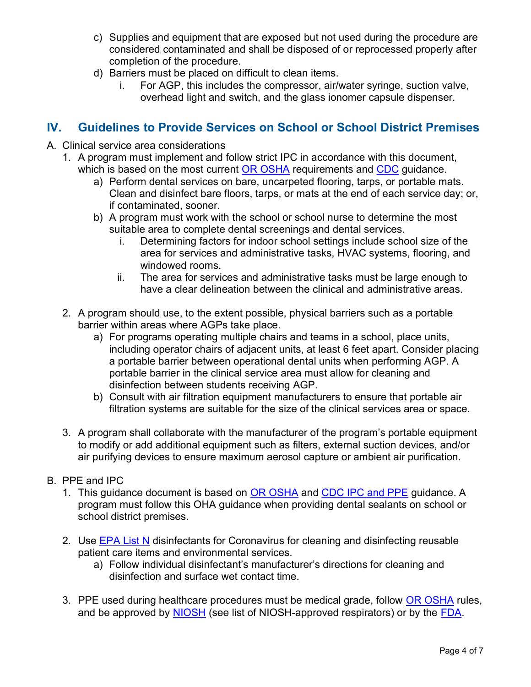- c) Supplies and equipment that are exposed but not used during the procedure are considered contaminated and shall be disposed of or reprocessed properly after completion of the procedure.
- d) Barriers must be placed on difficult to clean items.
	- i. For AGP, this includes the compressor, air/water syringe, suction valve, overhead light and switch, and the glass ionomer capsule dispenser.

### IV. Guidelines to Provide Services on School or School District Premises

- A. Clinical service area considerations
	- 1. A program must implement and follow strict IPC in accordance with this document, which is based on the most current OR OSHA requirements and CDC guidance.
		- a) Perform dental services on bare, uncarpeted flooring, tarps, or portable mats. Clean and disinfect bare floors, tarps, or mats at the end of each service day; or, if contaminated, sooner.
		- b) A program must work with the school or school nurse to determine the most suitable area to complete dental screenings and dental services.
			- i. Determining factors for indoor school settings include school size of the area for services and administrative tasks, HVAC systems, flooring, and windowed rooms.
			- ii. The area for services and administrative tasks must be large enough to have a clear delineation between the clinical and administrative areas.
	- 2. A program should use, to the extent possible, physical barriers such as a portable barrier within areas where AGPs take place.
		- a) For programs operating multiple chairs and teams in a school, place units, including operator chairs of adjacent units, at least 6 feet apart. Consider placing a portable barrier between operational dental units when performing AGP. A portable barrier in the clinical service area must allow for cleaning and disinfection between students receiving AGP.
		- b) Consult with air filtration equipment manufacturers to ensure that portable air filtration systems are suitable for the size of the clinical services area or space.
	- 3. A program shall collaborate with the manufacturer of the program's portable equipment to modify or add additional equipment such as filters, external suction devices, and/or air purifying devices to ensure maximum aerosol capture or ambient air purification.
- B. PPE and IPC
	- 1. This guidance document is based on OR OSHA and CDC IPC and PPE guidance. A program must follow this OHA guidance when providing dental sealants on school or school district premises.
	- 2. Use EPA List N disinfectants for Coronavirus for cleaning and disinfecting reusable patient care items and environmental services.
		- a) Follow individual disinfectant's manufacturer's directions for cleaning and disinfection and surface wet contact time.
	- 3. PPE used during healthcare procedures must be medical grade, follow OR OSHA rules, and be approved by NIOSH (see list of NIOSH-approved respirators) or by the FDA.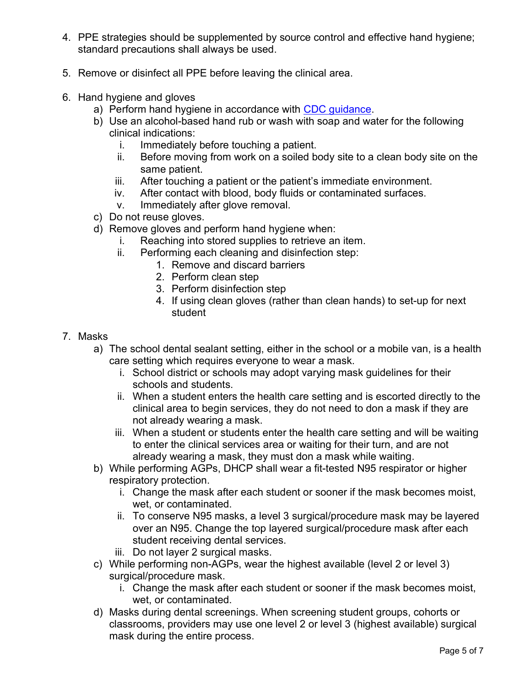- 4. PPE strategies should be supplemented by source control and effective hand hygiene; standard precautions shall always be used.
- 5. Remove or disinfect all PPE before leaving the clinical area.
- 6. Hand hygiene and gloves
	- a) Perform hand hygiene in accordance with CDC guidance.
	- b) Use an alcohol-based hand rub or wash with soap and water for the following clinical indications:
		- i. Immediately before touching a patient.
		- ii. Before moving from work on a soiled body site to a clean body site on the same patient.
		- iii. After touching a patient or the patient's immediate environment.
		- iv. After contact with blood, body fluids or contaminated surfaces.
		- v. Immediately after glove removal.
	- c) Do not reuse gloves.
	- d) Remove gloves and perform hand hygiene when:
		- i. Reaching into stored supplies to retrieve an item.
		- ii. Performing each cleaning and disinfection step:
			- 1. Remove and discard barriers
			- 2. Perform clean step
			- 3. Perform disinfection step
			- 4. If using clean gloves (rather than clean hands) to set-up for next student
- 7. Masks
	- a) The school dental sealant setting, either in the school or a mobile van, is a health care setting which requires everyone to wear a mask.
		- i. School district or schools may adopt varying mask guidelines for their schools and students.
		- ii. When a student enters the health care setting and is escorted directly to the clinical area to begin services, they do not need to don a mask if they are not already wearing a mask.
		- iii. When a student or students enter the health care setting and will be waiting to enter the clinical services area or waiting for their turn, and are not already wearing a mask, they must don a mask while waiting.
	- b) While performing AGPs, DHCP shall wear a fit-tested N95 respirator or higher respiratory protection.
		- i. Change the mask after each student or sooner if the mask becomes moist, wet, or contaminated.
		- ii. To conserve N95 masks, a level 3 surgical/procedure mask may be layered over an N95. Change the top layered surgical/procedure mask after each student receiving dental services.
		- iii. Do not layer 2 surgical masks.
	- c) While performing non-AGPs, wear the highest available (level 2 or level 3) surgical/procedure mask.
		- i. Change the mask after each student or sooner if the mask becomes moist, wet, or contaminated.
	- d) Masks during dental screenings. When screening student groups, cohorts or classrooms, providers may use one level 2 or level 3 (highest available) surgical mask during the entire process.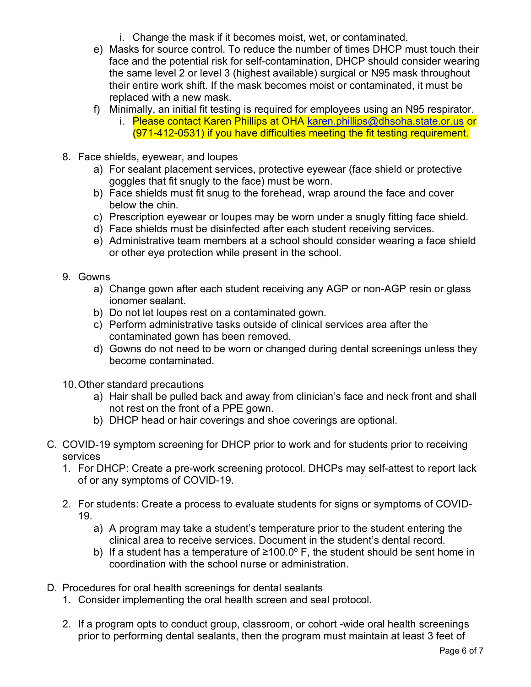- i. Change the mask if it becomes moist, wet, or contaminated.
- e) Masks for source control. To reduce the number of times DHCP must touch their face and the potential risk for self-contamination, DHCP should consider wearing the same level 2 or level 3 (highest available) surgical or N95 mask throughout their entire work shift. If the mask becomes moist or contaminated, it must be replaced with a new mask.
- f) Minimally, an initial fit testing is required for employees using an N95 respirator.
	- i. Please contact Karen Phillips at OHA karen.phillips@dhsoha.state.or.us or (971-412-0531) if you have difficulties meeting the fit testing requirement.
- 8. Face shields, eyewear, and loupes
	- a) For sealant placement services, protective eyewear (face shield or protective goggles that fit snugly to the face) must be worn.
	- b) Face shields must fit snug to the forehead, wrap around the face and cover below the chin.
	- c) Prescription eyewear or loupes may be worn under a snugly fitting face shield.
	- d) Face shields must be disinfected after each student receiving services.
	- e) Administrative team members at a school should consider wearing a face shield or other eye protection while present in the school.
- 9. Gowns
	- a) Change gown after each student receiving any AGP or non-AGP resin or glass ionomer sealant.
	- b) Do not let loupes rest on a contaminated gown.
	- c) Perform administrative tasks outside of clinical services area after the contaminated gown has been removed.
	- d) Gowns do not need to be worn or changed during dental screenings unless they become contaminated.
- 10. Other standard precautions
	- a) Hair shall be pulled back and away from clinician's face and neck front and shall not rest on the front of a PPE gown.
	- b) DHCP head or hair coverings and shoe coverings are optional.
- C. COVID-19 symptom screening for DHCP prior to work and for students prior to receiving services
	- 1. For DHCP: Create a pre-work screening protocol. DHCPs may self-attest to report lack of or any symptoms of COVID-19.
	- 2. For students: Create a process to evaluate students for signs or symptoms of COVID-19.
		- a) A program may take a student's temperature prior to the student entering the clinical area to receive services. Document in the student's dental record.
		- b) If a student has a temperature of  $\geq 100.0^{\circ}$  F, the student should be sent home in coordination with the school nurse or administration.
- D. Procedures for oral health screenings for dental sealants
	- 1. Consider implementing the oral health screen and seal protocol.
	- 2. If a program opts to conduct group, classroom, or cohort -wide oral health screenings prior to performing dental sealants, then the program must maintain at least 3 feet of